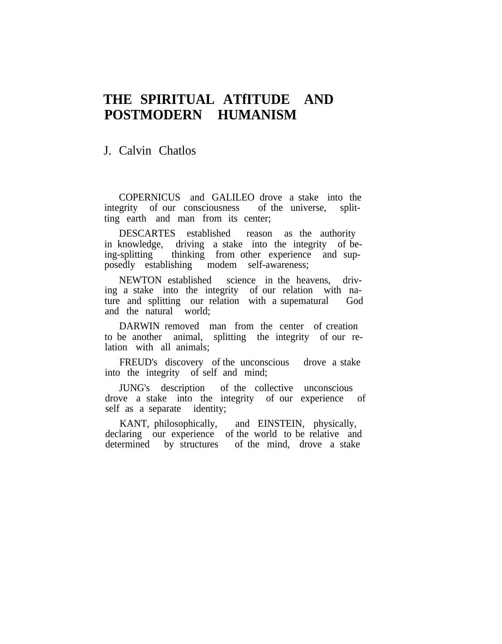## **THE SPIRITUAL ATfITUDE AND POSTMODERN HUMANISM**

## J. Calvin Chatlos

COPERNICUS and GALILEO drove a stake into the integrity of our consciousness of the universe, splitting earth and man from its center;

DESCARTES established reason as the authority in knowledge, driving a stake into the integrity of being-splitting thinking from other experience and supposedly establishing modem self-awareness;

NEWTON established science in the heavens, driving a stake into the integrity of our relation with nature and splitting our relation with a supematural God and the natural world;

DARWIN removed man from the center of creation to be another animal, splitting the integrity of our relation with all animals;

FREUD's discovery of the unconscious drove a stake into the integrity of self and mind;

JUNG's description of the collective unconscious drove a stake into the integrity of our experience of self as a separate identity;

KANT, philosophically, and EINSTEIN, physically, declaring our experience of the world to be relative and determined by structures of the mind, drove a stake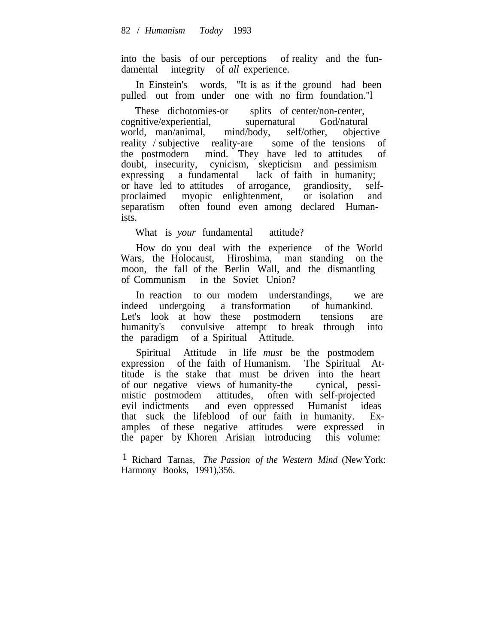into the basis of our perceptions of reality and the fundamental integrity of *all* experience.

In Einstein's words, "It is as if the ground had been pulled out from under one with no firm foundation."l

These dichotomies-or splits of center/non-center, cognitive/experiential, supernatural God/natural world, man/animal, mind/body, self/other, objective reality / subjective reality-are some of the tensions of the postmodern mind. They have led to attitudes of doubt, insecurity, cynicism, skepticism and pessimism expressing a fundamental lack of faith in humanity; or have led to attitudes of arrogance, grandiosity, selfproclaimed myopic enlightenment, or isolation and separatism often found even among declared Humanists.

What is *your* fundamental attitude?

How do you deal with the experience of the World Wars, the Holocaust, Hiroshima, man standing on the moon, the fall of the Berlin Wall, and the dismantling of Communism in the Soviet Union?

In reaction to our modem understandings, we are indeed undergoing a transformation of humankind. Let's look at how these postmodern tensions are humanity's convulsive attempt to break through into the paradigm of a Spiritual Attitude.

Spiritual Attitude in life *must* be the postmodem expression of the faith of Humanism. The Spiritual Attitude is the stake that must be driven into the heart of our negative views of humanity-the cynical, pessimistic postmodem attitudes, often with self-projected evil indictments and even oppressed Humanist ideas that suck the lifeblood of our faith in humanity. Examples of these negative attitudes were expressed in the paper by Khoren Arisian introducing this volume:

1 Richard Tarnas, *The Passion of the Western Mind* (New York: Harmony Books, 1991),356.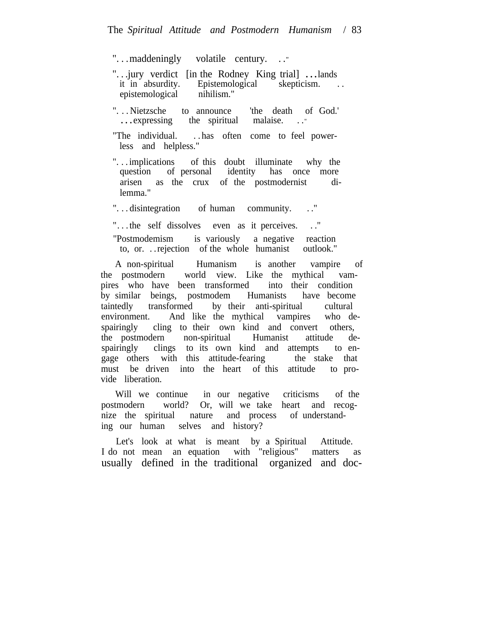". . .maddeningly volatile century. . ."

"... jury verdict [in the Rodney King trial] ... lands<br>it in absurdity. Epistemological skepticism. Epistemological skepticism. . . epistemological nihilism."

"...Nietzsche to announce 'the death of God.'<br>...expressing the spiritual malaise..." the spiritual malaise. . . .

"The individual. . . has often come to feel powerless and helpless."

"... implications of this doubt illuminate why the question of personal identity has once more question of personal identity has once more arisen as the crux of the postmodernist dilemma."

". . . disintegration of human community. . ."

". . .the self dissolves even as it perceives. . ."

"Postmodemism is variously a negative reaction to, or. . .rejection of the whole humanist outlook."

A non-spiritual Humanism is another vampire of the postmodern world view. Like the mythical vampires who have been transformed into their condition by similar beings, postmodem Humanists have become taintedly transformed by their anti-spiritual cultural environment. And like the mythical vampires who despairingly cling to their own kind and convert others, the postmodern non-spiritual Humanist attitude despairingly clings to its own kind and attempts to engage others with this attitude-fearing the stake that must be driven into the heart of this attitude to provide liberation.

Will we continue in our negative criticisms of the postmodern world? Or, will we take heart and recognize the spiritual nature and process of understanding our human selves and history?

Let's look at what is meant by a Spiritual Attitude. I do not mean an equation with "religious" matters as usually defined in the traditional organized and doc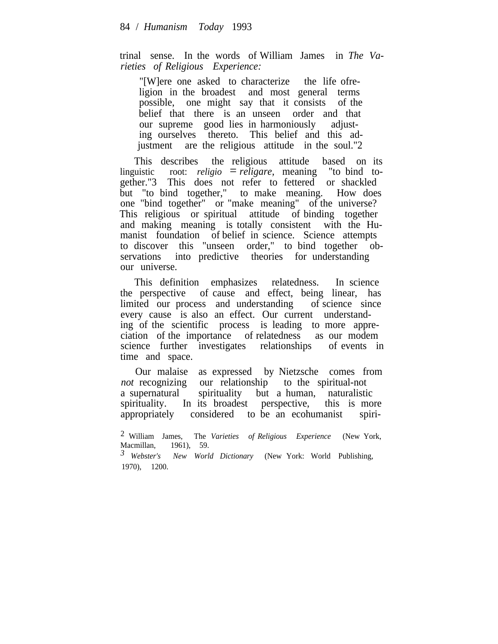trinal sense. In the words of William James in *The Varieties of Religious Experience:*

"[W]ere one asked to characterize the life ofreligion in the broadest and most general terms possible, one might say that it consists of the belief that there is an unseen order and that our supreme good lies in harmoniously adjusting ourselves thereto. This belief and this adjustment are the religious attitude in the soul."2

This describes the religious attitude based on its linguistic root: *religio* = *religare,* meaning "to bind together."3 This does not refer to fettered or shackled but "to bind together," to make meaning. How does one "bind together" or "make meaning" of the universe? This religious or spiritual attitude of binding together and making meaning is totally consistent with the Humanist foundation of belief in science. Science attempts to discover this "unseen order," to bind together observations into predictive theories for understanding our universe.

This definition emphasizes relatedness. In science the perspective of cause and effect, being linear, has limited our process and understanding of science since limited our process and understanding every cause is also an effect. Our current understanding of the scientific process is leading to more appreciation of the importance of relatedness as our modem science further investigates relationships of events in time and space.

Our malaise as expressed by Nietzsche comes from *not* recognizing our relationship to the spiritual-not a supernatural spirituality but a human, naturalistic spirituality. In its broadest perspective, this is more appropriately considered to be an ecohumanist spiri-

*3 Webster's New World Dictionary* (New York: World Publishing, 1970), 1200.

<sup>2</sup> William James, The *Varieties of Religious Experience* (New York, Macmillan, 1961), 59.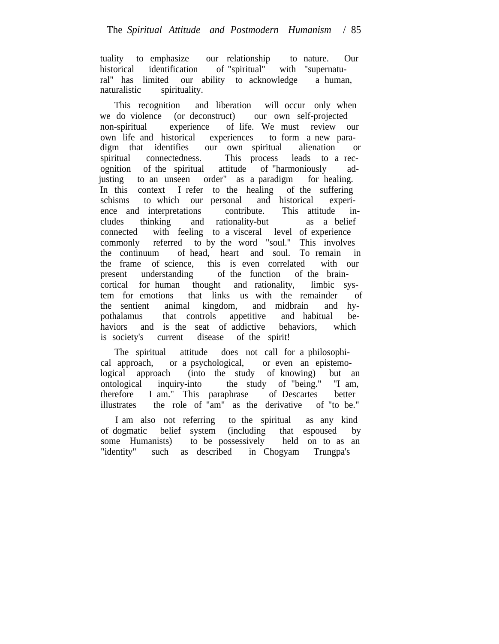tuality to emphasize our relationship to nature. Our historical identification of "spiritual" with "supernatuhistorical identification of "spiritual" with "supernatural" has limited our ability to acknowledge a human, naturalistic spirituality.

This recognition and liberation will occur only when we do violence (or deconstruct) our own self-projected non-spiritual experience of life. We must review our own life and historical experiences to form a new paradigm that identifies our own spiritual alienation or spiritual connectedness. This process leads to a recognition of the spiritual attitude of "harmoniously adjusting to an unseen order" as a paradigm for healing. In this context I refer to the healing of the suffering schisms to which our personal and historical experience and interpretations contribute. This attitude includes thinking and rationality-but as a belief connected with feeling to a visceral level of experience commonly referred to by the word "soul." This involves the continuum of head, heart and soul. To remain in the frame of science, this is even correlated with our present understanding of the function of the braincortical for human thought and rationality, limbic system for emotions that links us with the remainder of the sentient animal kingdom, and midbrain and hypothalamus that controls appetitive and habitual behaviors and is the seat of addictive behaviors, which is society's current disease of the spirit!

The spiritual attitude does not call for a philosophical approach, or a psychological, or even an epistemological approach (into the study of knowing) but an ontological inquiry-into the study of "being." "I am,  $\alpha$  ontological inquiry-into the study of "being." therefore I am." This paraphrase of Descartes better illustrates the role of "am" as the derivative of "to be."

I am also not referring to the spiritual as any kind of dogmatic belief system (including that espoused by some Humanists) to be possessively held on to as an "identity" such as described in Chogyam Trungpa's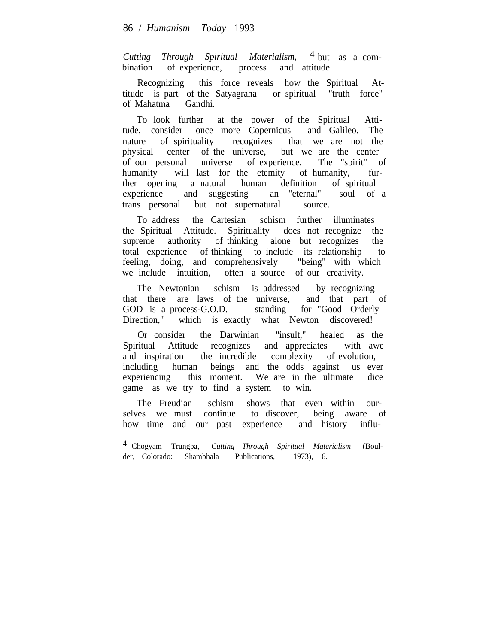*Cutting Through Spiritual Materialism,* 4 but as a combination of experience, process and attitude.

Recognizing this force reveals how the Spiritual Attitude is part of the Satyagraha or spiritual "truth force" of Mahatma Gandhi.

To look further at the power of the Spiritual Attitude, consider once more Copernicus and Galileo. The nature of spirituality recognizes that we are not the physical center of the universe, but we are the center of our personal universe of experience. The "spirit" of humanity will last for the etemity of humanity, further opening a natural human definition of spiritual experience and suggesting an "eternal" soul of a trans personal but not supernatural source.

To address the Cartesian schism further illuminates the Spiritual Attitude. Spirituality does not recognize the supreme authority of thinking alone but recognizes the total experience of thinking to include its relationship to feeling, doing, and comprehensively "being" with which we include intuition, often a source of our creativity.

The Newtonian schism is addressed by recognizing that there are laws of the universe, and that part of GOD is a process-G.O.D. standing for "Good Orderly Direction," which is exactly what Newton discovered!

Or consider the Darwinian "insult," healed as the Spiritual Attitude recognizes and appreciates with awe and inspiration the incredible complexity of evolution, including human beings and the odds against us ever experiencing this moment. We are in the ultimate dice game as we try to find a system to win.

The Freudian schism shows that even within ourselves we must continue to discover, being aware of how time and our past experience and history influ-

4 Chogyam Trungpa, *Cutting Through Spiritual Materialism* (Boulder, Colorado: Shambhala Publications, 1973), 6.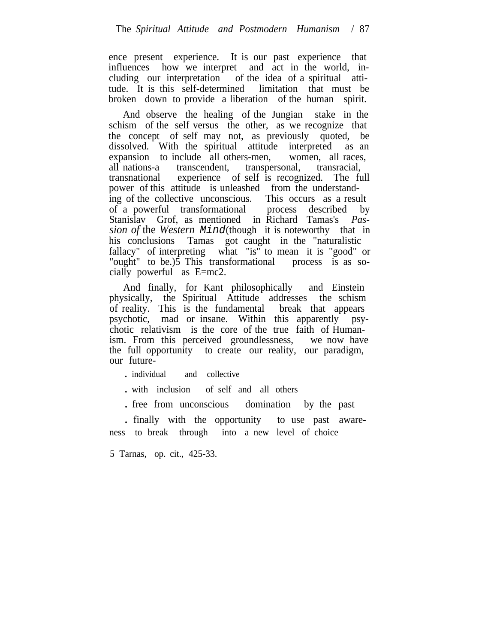ence present experience. It is our past experience that influences how we interpret and act in the world, including our interpretation of the idea of a spiritual attitude. It is this self-determined limitation that must be broken down to provide a liberation of the human spirit.

And observe the healing of the Jungian stake in the schism of the self versus the other, as we recognize that the concept of self may not, as previously quoted, be dissolved. With the spiritual attitude interpreted as an expansion to include all others-men, women, all races, all nations-a transcendent, transpersonal, transracial, transnational experience of self is recognized. The full power of this attitude is unleashed from the understanding of the collective unconscious. This occurs as a result of a powerful transformational process described by Stanislav Grof, as mentioned in Richard Tamas's *Passion of* the *Western* Mind(though it is noteworthy that in his conclusions Tamas got caught in the "naturalistic fallacy" of interpreting what "is" to mean it is "good" or "ought" to be.)5 This transformational process is as socially powerful as E=mc2.

And finally, for Kant philosophically and Einstein physically, the Spiritual Attitude addresses the schism of reality. This is the fundamental break that appears psychotic, mad or insane. Within this apparently psychotic relativism is the core of the true faith of Humanism. From this perceived groundlessness, we now have the full opportunity to create our reality, our paradigm, our future-

. individual and collective

. with inclusion of self and all others

. free from unconscious domination by the past

. finally with the opportunity to use past awareness to break through into a new level of choice

5 Tarnas, op. cit., 425-33.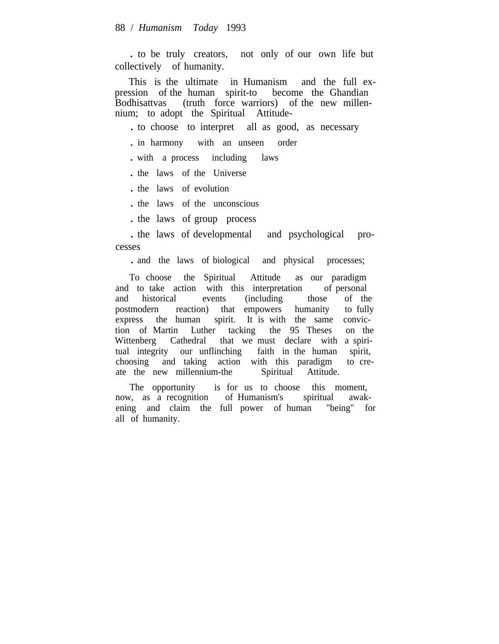. to be truly creators, not only of our own life but collectively of humanity.

This is the ultimate in Humanism and the full expression of the human spirit-to become the Ghandian Bodhisattvas (truth force warriors) of the new millennium; to adopt the Spiritual Attitude-

. to choose to interpret all as good, as necessary

. in harmony with an unseen order

. with a process including laws

. the laws of the Universe

. the laws of evolution

. the laws of the unconscious

. the laws of group process

. the laws of developmental and psychological processes

. and the laws of biological and physical processes;

To choose the Spiritual Attitude as our paradigm and to take action with this interpretation of personal and historical events (including those of the postmodern reaction) that empowers humanity to fully express the human spirit. It is with the same conviction of Martin Luther tacking the 95 Theses on the Wittenberg Cathedral that we must declare with a spiritual integrity our unflinching faith in the human spirit, choosing and taking action with this paradigm to create the new millennium-the Spiritual Attitude.

The opportunity is for us to choose this moment, now, as a recognition of Humanism's spiritual awakening and claim the full power of human "being" for all of humanity.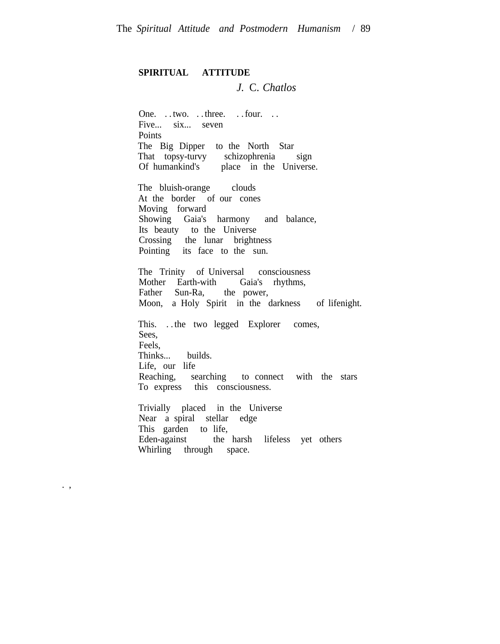## **SPIRITUAL ATTITUDE**

## *J.* C. *Chatlos*

One. . . two. . . three. . . four. . . Five... six... seven **Points** The Big Dipper to the North Star That topsy-turvy schizophrenia sign Of humankind's place in the Universe.

The bluish-orange clouds At the border of our cones Moving forward Showing Gaia's harmony and balance, Its beauty to the Universe Crossing the lunar brightness Pointing its face to the sun.

The Trinity of Universal consciousness Mother Earth-with Gaia's rhythms, Father Sun-Ra, the power, Moon, a Holy Spirit in the darkness of lifenight.

This. . . the two legged Explorer comes, Sees, Feels, Thinks... builds. Life, our life Reaching, searching to connect with the stars To express this consciousness.

Trivially placed in the Universe Near a spiral stellar edge This garden to life, Eden-against the harsh lifeless yet others Whirling through space.

. ,